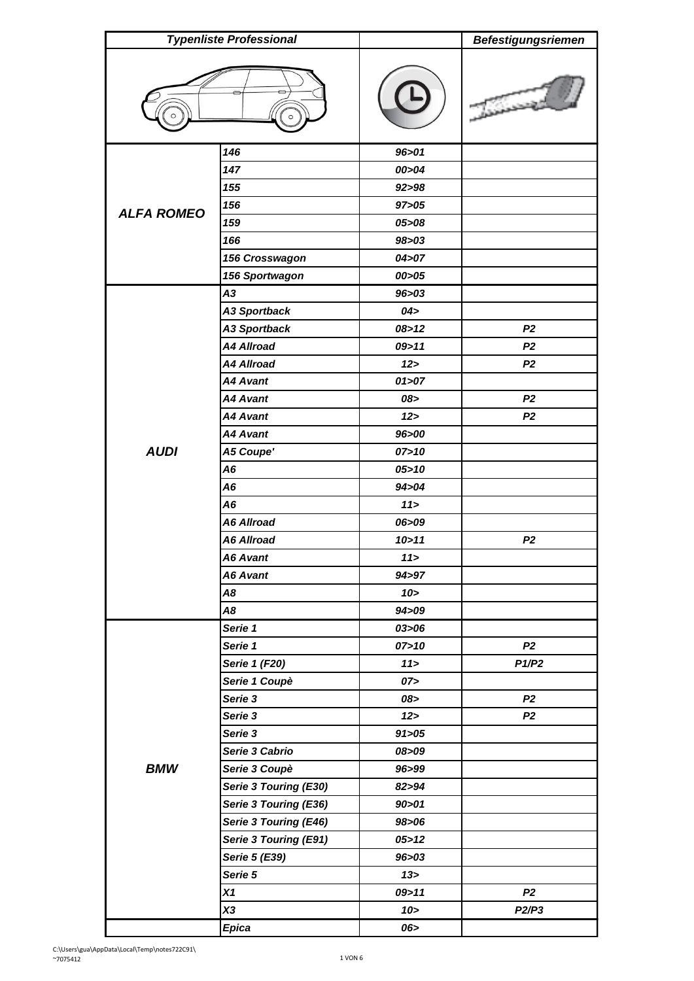| <b>Typenliste Professional</b> |                       |         | <b>Befestigungsriemen</b> |
|--------------------------------|-----------------------|---------|---------------------------|
|                                |                       |         |                           |
|                                | 146                   | 96 > 01 |                           |
|                                | 147                   | 00>04   |                           |
|                                | 155                   | 92 > 98 |                           |
|                                | 156                   | 97 > 05 |                           |
| <b>ALFA ROMEO</b>              | 159                   | 05>08   |                           |
|                                | 166                   | 98 > 03 |                           |
|                                | 156 Crosswagon        | 04 > 07 |                           |
|                                | 156 Sportwagon        | 00 > 05 |                           |
|                                | A3                    | 96>03   |                           |
|                                | <b>A3 Sportback</b>   | 04 >    |                           |
|                                | <b>A3 Sportback</b>   | 08 > 12 | P <sub>2</sub>            |
|                                | <b>A4 Allroad</b>     | 09 > 11 | P <sub>2</sub>            |
|                                | <b>A4 Allroad</b>     | 12 >    | P <sub>2</sub>            |
|                                | <b>A4 Avant</b>       | 01 > 07 |                           |
|                                | <b>A4 Avant</b>       | 08>     | P <sub>2</sub>            |
|                                | <b>A4 Avant</b>       | 12      | P <sub>2</sub>            |
|                                | <b>A4 Avant</b>       | 96>00   |                           |
| <b>AUDI</b>                    | A5 Coupe'             | 07 > 10 |                           |
|                                | A6                    | 05 > 10 |                           |
|                                | A <sub>6</sub>        | 94 > 04 |                           |
|                                | A <sub>6</sub>        | 11      |                           |
|                                | <b>A6 Allroad</b>     | 06>09   |                           |
|                                | <b>A6 Allroad</b>     | 10 > 11 | P <sub>2</sub>            |
|                                | A6 Avant              | 11      |                           |
|                                | <b>A6 Avant</b>       | 94>97   |                           |
|                                | A8                    | 10 >    |                           |
|                                | A8                    | 94>09   |                           |
|                                | Serie 1               | 03 > 06 |                           |
|                                | Serie 1               | 07 > 10 | P <sub>2</sub>            |
|                                | Serie 1 (F20)         | 11      | P1/P2                     |
|                                | Serie 1 Coupè         | 07 >    |                           |
| <b>BMW</b>                     | Serie 3               | 08>     | P <sub>2</sub>            |
|                                | Serie 3               | 12      | P <sub>2</sub>            |
|                                | Serie 3               | 91 > 05 |                           |
|                                | Serie 3 Cabrio        | 08>09   |                           |
|                                | Serie 3 Coupè         | 96>99   |                           |
|                                | Serie 3 Touring (E30) | 82>94   |                           |
|                                | Serie 3 Touring (E36) | 90 > 01 |                           |
|                                | Serie 3 Touring (E46) | 98>06   |                           |
|                                | Serie 3 Touring (E91) | 05 > 12 |                           |
|                                | Serie 5 (E39)         | 96 > 03 |                           |
|                                | Serie 5               | 13 >    |                           |
|                                | X1                    | 09 > 11 | P <sub>2</sub>            |
|                                | X3                    | 10 >    | P2/P3                     |
|                                | <b>Epica</b>          | 06>     |                           |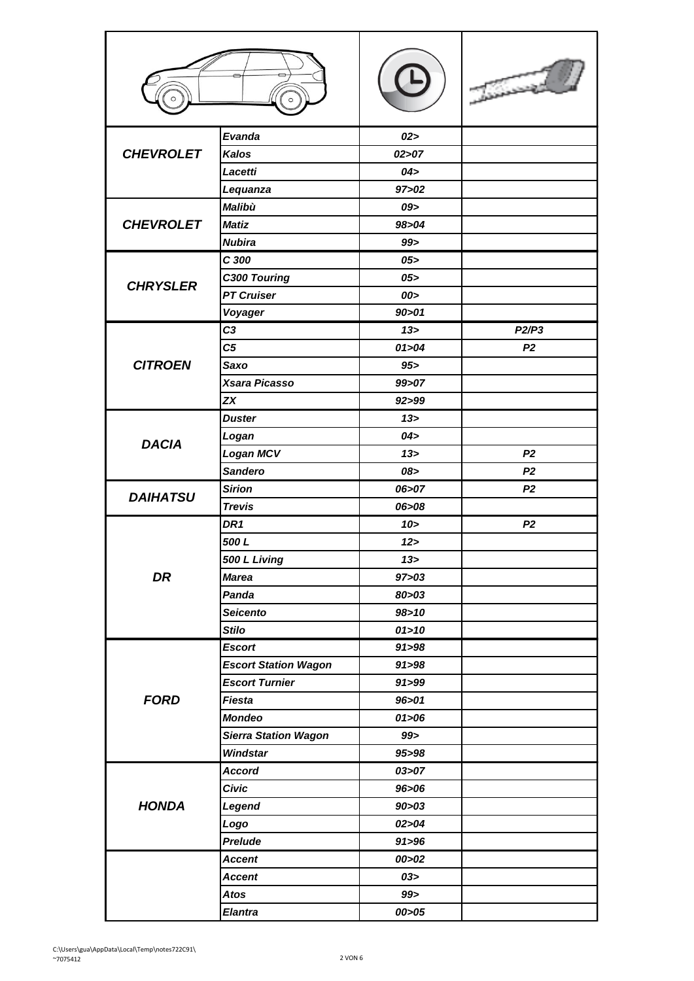|                  | Evanda                      | 02 >    |                |
|------------------|-----------------------------|---------|----------------|
| <b>CHEVROLET</b> | <b>Kalos</b>                | 02 > 07 |                |
|                  | Lacetti                     | 04 >    |                |
|                  | Lequanza                    | 97 > 02 |                |
|                  | <b>Malibù</b>               | 09>     |                |
| <b>CHEVROLET</b> | <b>Matiz</b>                | 98>04   |                |
|                  | <b>Nubira</b>               | 99      |                |
|                  | C 300                       | 05 >    |                |
| <b>CHRYSLER</b>  | C300 Touring                | 05 >    |                |
|                  | <b>PT Cruiser</b>           | 00>     |                |
|                  | Voyager                     | 90 > 01 |                |
|                  | C <sub>3</sub>              | 13 >    | P2/P3          |
|                  | C <sub>5</sub>              | 01 > 04 | P <sub>2</sub> |
| <b>CITROEN</b>   | Saxo                        | $95 -$  |                |
|                  | Xsara Picasso               | 99>07   |                |
|                  | <b>ZX</b>                   | 92>99   |                |
|                  | <b>Duster</b>               | 13 >    |                |
|                  | Logan                       | 04 >    |                |
| <b>DACIA</b>     | <b>Logan MCV</b>            | 13 >    | P <sub>2</sub> |
|                  | <b>Sandero</b>              | 08>     | P <sub>2</sub> |
|                  | <b>Sirion</b>               | 06>07   | P <sub>2</sub> |
| <b>DAIHATSU</b>  | <b>Trevis</b>               | 06>08   |                |
|                  | DR <sub>1</sub>             | $10 -$  | P <sub>2</sub> |
|                  | 500L                        | 12 >    |                |
|                  | 500 L Living                | 13 >    |                |
| DR               | <b>Marea</b>                | 97 > 03 |                |
|                  | Panda                       | 80 > 03 |                |
|                  | <b>Seicento</b>             | 98 > 10 |                |
|                  | <b>Stilo</b>                | 01 > 10 |                |
|                  | <b>Escort</b>               | 91 > 98 |                |
|                  | <b>Escort Station Wagon</b> | 91 > 98 |                |
|                  | <b>Escort Turnier</b>       | 91 > 99 |                |
| <b>FORD</b>      | <b>Fiesta</b>               | 96 > 01 |                |
|                  | <b>Mondeo</b>               | 01 > 06 |                |
|                  | <b>Sierra Station Wagon</b> | 99 >    |                |
|                  | Windstar                    | 95>98   |                |
|                  | <b>Accord</b>               | 03 > 07 |                |
| <b>HONDA</b>     | <b>Civic</b>                | 96>06   |                |
|                  | Legend                      | 90 > 03 |                |
|                  | Logo                        | 02 > 04 |                |
|                  | Prelude                     | 91 > 96 |                |
|                  | <b>Accent</b>               | 00>02   |                |
|                  | <b>Accent</b>               | 03 >    |                |
|                  | <b>Atos</b>                 | 99 >    |                |
|                  | <b>Elantra</b>              | 00 > 05 |                |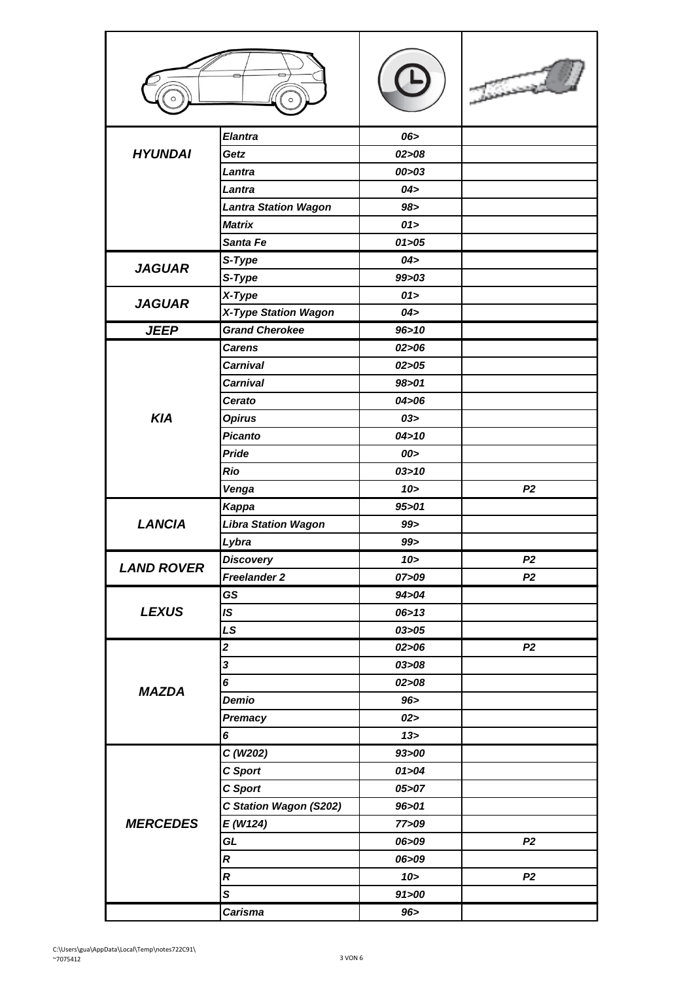|                   | <b>Elantra</b>              | 06>       |                |
|-------------------|-----------------------------|-----------|----------------|
| <b>HYUNDAI</b>    | Getz                        | 02 > 08   |                |
|                   | Lantra                      | 00 > 03   |                |
|                   | Lantra                      | 04 >      |                |
|                   | <b>Lantra Station Wagon</b> | 98 >      |                |
|                   | <b>Matrix</b>               | 01>       |                |
|                   | Santa Fe                    | 01 > 05   |                |
|                   | S-Type                      | 04 >      |                |
| <b>JAGUAR</b>     | S-Type                      | $99 - 03$ |                |
|                   | X-Type                      | 01>       |                |
| <b>JAGUAR</b>     | X-Type Station Wagon        | 04>       |                |
| <b>JEEP</b>       | <b>Grand Cherokee</b>       | 96 > 10   |                |
|                   | <b>Carens</b>               | 02 > 06   |                |
|                   | <b>Carnival</b>             | 02 > 05   |                |
|                   | <b>Carnival</b>             | 98 > 01   |                |
|                   | Cerato                      | 04 > 06   |                |
| <b>KIA</b>        | <b>Opirus</b>               | 03>       |                |
|                   | <b>Picanto</b>              | 04 > 10   |                |
|                   | Pride                       | 00>       |                |
|                   | <b>Rio</b>                  | 03 > 10   |                |
|                   | Venga                       | 10 >      | P <sub>2</sub> |
|                   | Kappa                       | 95 > 01   |                |
| <b>LANCIA</b>     | <b>Libra Station Wagon</b>  | 99 >      |                |
|                   | Lybra                       | 99 >      |                |
|                   | <b>Discovery</b>            | 10 >      | P <sub>2</sub> |
| <b>LAND ROVER</b> | Freelander 2                | 07>09     | P <sub>2</sub> |
|                   | GS                          | 94>04     |                |
| <b>LEXUS</b>      | IS                          | 06 > 13   |                |
|                   | LS                          | 03 > 05   |                |
|                   | $\overline{\mathbf{2}}$     | 02 > 06   | P <sub>2</sub> |
|                   | 3                           | 03 > 08   |                |
|                   | 6                           | 02 > 08   |                |
| <b>MAZDA</b>      | Demio                       | 96 >      |                |
|                   | Premacy                     | 02 >      |                |
|                   | 6                           | 13 >      |                |
| <b>MERCEDES</b>   | C(W202)                     | 93>00     |                |
|                   | <b>C</b> Sport              | 01 > 04   |                |
|                   | C Sport                     | 05 > 07   |                |
|                   | C Station Wagon (S202)      | 96 > 01   |                |
|                   | E(W124)                     | 77>09     |                |
|                   | GL                          | 06>09     | P <sub>2</sub> |
|                   | $\boldsymbol{R}$            | 06>09     |                |
|                   | $\boldsymbol{R}$            | $10 -$    | P <sub>2</sub> |
|                   | S                           | 91 > 00   |                |
|                   | <b>Carisma</b>              | 96 >      |                |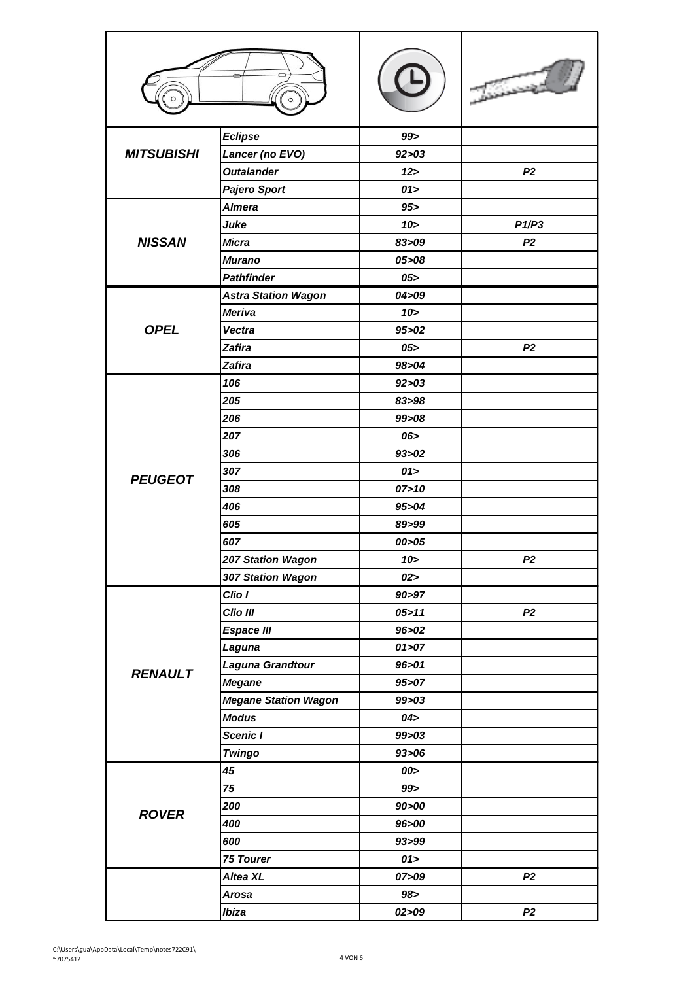|                   | <b>Eclipse</b>              | 99        |                |
|-------------------|-----------------------------|-----------|----------------|
| <b>MITSUBISHI</b> | Lancer (no EVO)             | 92 > 03   |                |
|                   | <b>Outalander</b>           | 12 >      | P <sub>2</sub> |
|                   | <b>Pajero Sport</b>         | 01 >      |                |
|                   | <b>Almera</b>               | 95 >      |                |
|                   | Juke                        | 10 >      | P1/P3          |
| <b>NISSAN</b>     | <b>Micra</b>                | 83>09     | P <sub>2</sub> |
|                   | <b>Murano</b>               | 05 > 08   |                |
|                   | <b>Pathfinder</b>           | 05 >      |                |
|                   | <b>Astra Station Wagon</b>  | 04 > 09   |                |
|                   | <b>Meriva</b>               | 10 >      |                |
| <b>OPEL</b>       | <b>Vectra</b>               | 95 > 02   |                |
|                   | <b>Zafira</b>               | 05 >      | P <sub>2</sub> |
|                   | <b>Zafira</b>               | 98>04     |                |
|                   | 106                         | 92 > 03   |                |
|                   | 205                         | 83>98     |                |
|                   | 206                         | 99>08     |                |
|                   | 207                         | 06>       |                |
|                   | 306                         | 93 > 02   |                |
|                   | 307                         | 01 >      |                |
| <b>PEUGEOT</b>    | 308                         | 07 > 10   |                |
|                   | 406                         | 95 > 04   |                |
|                   | 605                         | 89>99     |                |
|                   | 607                         | 00>05     |                |
|                   | 207 Station Wagon           | $10 -$    | P <sub>2</sub> |
|                   | 307 Station Wagon           | 02 >      |                |
|                   | Clio I                      | 90>97     |                |
|                   | Clio III                    | 05 > 11   | P <sub>2</sub> |
|                   | <b>Espace III</b>           | 96 > 02   |                |
|                   | Laguna                      | 01 > 07   |                |
|                   | Laguna Grandtour            | 96 > 01   |                |
| <b>RENAULT</b>    | <b>Megane</b>               | 95 > 07   |                |
|                   | <b>Megane Station Wagon</b> | 99>03     |                |
|                   | <b>Modus</b>                | 04 >      |                |
|                   | Scenic I                    | $99 - 03$ |                |
|                   | <b>Twingo</b>               | 93 > 06   |                |
| <b>ROVER</b>      | 45                          | 00>       |                |
|                   | 75                          | 99 >      |                |
|                   | 200                         | 90 > 00   |                |
|                   | 400                         | 96>00     |                |
|                   | 600                         | 93>99     |                |
|                   | 75 Tourer                   | 01        |                |
|                   | Altea XL                    | 07>09     | P <sub>2</sub> |
|                   | <b>Arosa</b>                | 98 >      |                |
|                   | Ibiza                       | 02 > 09   | P <sub>2</sub> |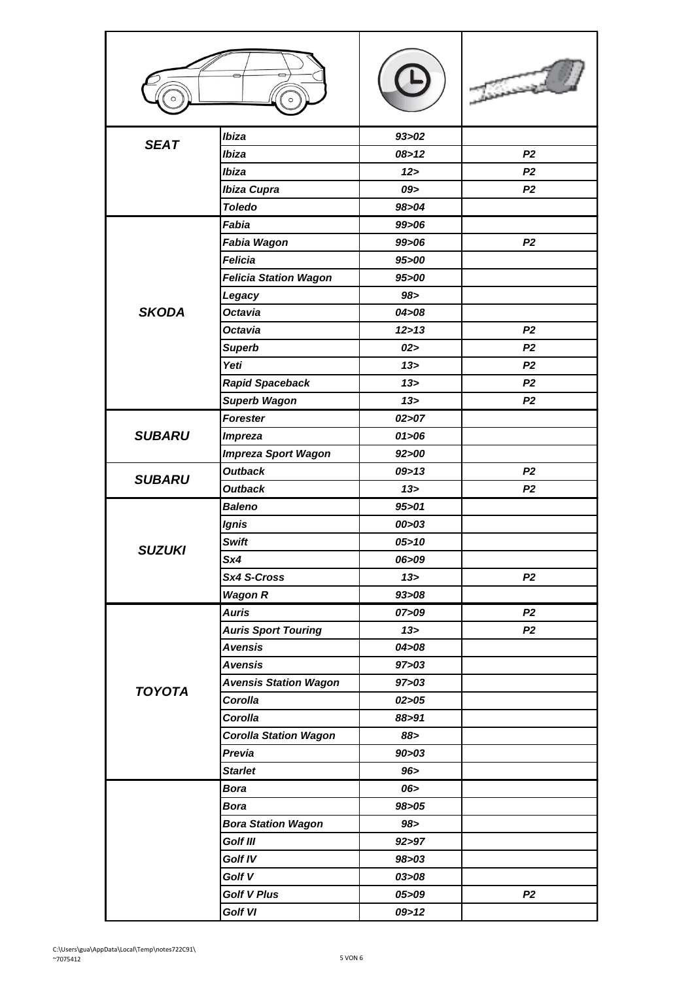| <b>SEAT</b>   | Ibiza                        | 93 > 02         |                |
|---------------|------------------------------|-----------------|----------------|
|               | Ibiza                        | 08 > 12         | P <sub>2</sub> |
|               | Ibiza                        | 12              | P <sub>2</sub> |
|               | Ibiza Cupra                  | 09>             | P <sub>2</sub> |
|               | <b>Toledo</b>                | 98 > 04         |                |
|               | Fabia                        | 99>06           |                |
|               | Fabia Wagon                  | 99>06           | P <sub>2</sub> |
|               | <b>Felicia</b>               | 95 > 00         |                |
|               | <b>Felicia Station Wagon</b> | 95>00           |                |
|               | Legacy                       | 98 >            |                |
| <b>SKODA</b>  | <b>Octavia</b>               | 04 > 08         |                |
|               | <b>Octavia</b>               | 12 > 13         | P <sub>2</sub> |
|               | <b>Superb</b>                | 02>             | P <sub>2</sub> |
|               | Yeti                         | 13 >            | P <sub>2</sub> |
|               | <b>Rapid Spaceback</b>       | $13 -$          | P <sub>2</sub> |
|               | <b>Superb Wagon</b>          | 13 >            | P <sub>2</sub> |
|               | <b>Forester</b>              | 02 > 07         |                |
| <b>SUBARU</b> | <b>Impreza</b>               | 01 > 06         |                |
|               | <b>Impreza Sport Wagon</b>   | 92 > 00         |                |
| <b>SUBARU</b> | <b>Outback</b>               | 09 > 13         | P <sub>2</sub> |
|               | <b>Outback</b>               | 13 >            | P <sub>2</sub> |
|               | <b>Baleno</b>                | 95 > 01         |                |
|               | <b>Ignis</b>                 | 00 > 03         |                |
| SUZUKI        | <b>Swift</b>                 | 05 > 10         |                |
|               | Sx4                          | 06>09           |                |
|               | Sx4 S-Cross                  | 13 >            | P <sub>2</sub> |
|               | <b>Wagon R</b>               | 93 > 08         |                |
|               | <b>Auris</b>                 | 07>09           | P <sub>2</sub> |
|               | <b>Auris Sport Touring</b>   | 13 <sub>2</sub> | P <sub>2</sub> |
|               | <b>Avensis</b>               | 04 > 08         |                |
|               | <b>Avensis</b>               | 97 > 03         |                |
| <b>TOYOTA</b> | <b>Avensis Station Wagon</b> | 97 > 03         |                |
|               | Corolla                      | 02 > 05         |                |
|               | Corolla                      | 88>91           |                |
|               | <b>Corolla Station Wagon</b> | 88>             |                |
|               | Previa                       | 90 > 03         |                |
|               | <b>Starlet</b>               | 96 >            |                |
|               | <b>Bora</b>                  | 06>             |                |
|               | <b>Bora</b>                  | 98 > 05         |                |
|               | <b>Bora Station Wagon</b>    | 98>             |                |
|               | Golf III                     | 92 > 97         |                |
|               | Golf IV                      | 98 > 03         |                |
|               | Golf V                       | 03>08           |                |
|               | <b>Golf V Plus</b>           | 05>09           | P <sub>2</sub> |
|               | Golf VI                      | 09 > 12         |                |